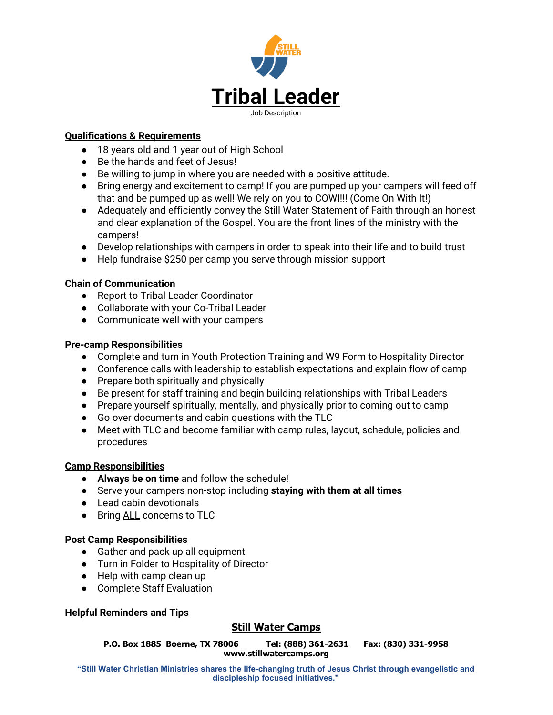

#### **Qualifications & Requirements**

- 18 years old and 1 year out of High School
- Be the hands and feet of Jesus!
- Be willing to jump in where you are needed with a positive attitude.
- Bring energy and excitement to camp! If you are pumped up your campers will feed off that and be pumped up as well! We rely on you to COWI!!! (Come On With It!)
- Adequately and efficiently convey the Still Water Statement of Faith through an honest and clear explanation of the Gospel. You are the front lines of the ministry with the campers!
- Develop relationships with campers in order to speak into their life and to build trust
- Help fundraise \$250 per camp you serve through mission support

#### **Chain of Communication**

- Report to Tribal Leader Coordinator
- Collaborate with your Co-Tribal Leader
- Communicate well with your campers

#### **Pre-camp Responsibilities**

- Complete and turn in Youth Protection Training and W9 Form to Hospitality Director
- Conference calls with leadership to establish expectations and explain flow of camp
- Prepare both spiritually and physically
- Be present for staff training and begin building relationships with Tribal Leaders
- Prepare yourself spiritually, mentally, and physically prior to coming out to camp
- Go over documents and cabin questions with the TLC
- Meet with TLC and become familiar with camp rules, layout, schedule, policies and procedures

# **Camp Responsibilities**

- **Always be on time** and follow the schedule!
- Serve your campers non-stop including **staying with them at all times**
- Lead cabin devotionals
- Bring ALL concerns to TLC

# **Post Camp Responsibilities**

- Gather and pack up all equipment
- Turn in Folder to Hospitality of Director
- Help with camp clean up
- Complete Staff Evaluation

# **Helpful Reminders and Tips**

# **Still Water Camps**

**P.O. Box 1885 Boerne, TX 78006 Tel: (888) 361-2631 Fax: (830) 331-9958 www.stillwatercamps.org**

**"Still Water Christian Ministries shares the life-changing truth of Jesus Christ through evangelistic and discipleship focused initiatives."**